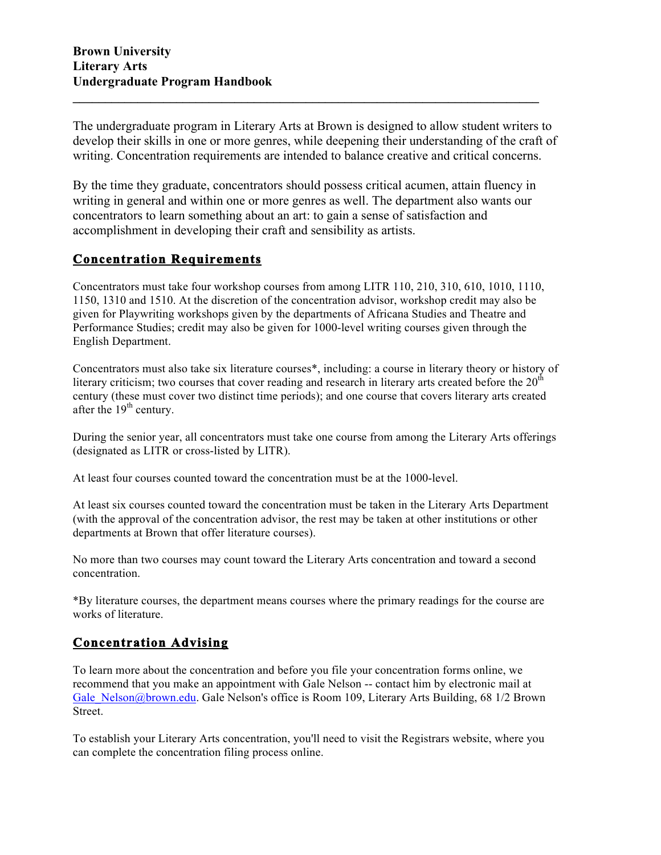The undergraduate program in Literary Arts at Brown is designed to allow student writers to develop their skills in one or more genres, while deepening their understanding of the craft of writing. Concentration requirements are intended to balance creative and critical concerns.

**\_\_\_\_\_\_\_\_\_\_\_\_\_\_\_\_\_\_\_\_\_\_\_\_\_\_\_\_\_\_\_\_\_\_\_\_\_\_\_\_\_\_\_\_\_\_\_\_\_\_\_\_\_\_\_\_\_\_\_\_\_\_\_\_\_\_\_\_\_\_\_\_**

By the time they graduate, concentrators should possess critical acumen, attain fluency in writing in general and within one or more genres as well. The department also wants our concentrators to learn something about an art: to gain a sense of satisfaction and accomplishment in developing their craft and sensibility as artists.

## **Concentration Requirements**

Concentrators must take four workshop courses from among LITR 110, 210, 310, 610, 1010, 1110, 1150, 1310 and 1510. At the discretion of the concentration advisor, workshop credit may also be given for Playwriting workshops given by the departments of Africana Studies and Theatre and Performance Studies; credit may also be given for 1000-level writing courses given through the English Department.

Concentrators must also take six literature courses\*, including: a course in literary theory or history of literary criticism; two courses that cover reading and research in literary arts created before the  $20<sup>th</sup>$ century (these must cover two distinct time periods); and one course that covers literary arts created after the  $19<sup>th</sup>$  century.

During the senior year, all concentrators must take one course from among the Literary Arts offerings (designated as LITR or cross-listed by LITR).

At least four courses counted toward the concentration must be at the 1000-level.

At least six courses counted toward the concentration must be taken in the Literary Arts Department (with the approval of the concentration advisor, the rest may be taken at other institutions or other departments at Brown that offer literature courses).

No more than two courses may count toward the Literary Arts concentration and toward a second concentration.

\*By literature courses, the department means courses where the primary readings for the course are works of literature.

## **Concentration Advising**

To learn more about the concentration and before you file your concentration forms online, we recommend that you make an appointment with Gale Nelson -- contact him by electronic mail at Gale Nelson@brown.edu. Gale Nelson's office is Room 109, Literary Arts Building, 68 1/2 Brown Street.

To establish your Literary Arts concentration, you'll need to visit the Registrars website, where you can complete the concentration filing process online.